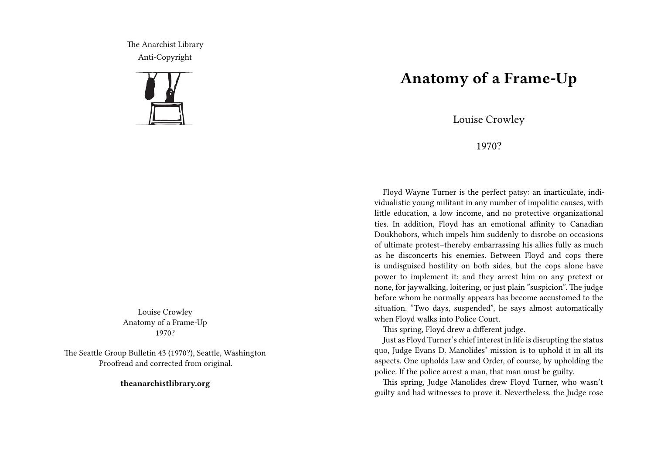The Anarchist Library Anti-Copyright



Louise Crowley Anatomy of a Frame-Up 1970?

The Seattle Group Bulletin 43 (1970?), Seattle, Washington Proofread and corrected from original.

**theanarchistlibrary.org**

## **Anatomy of a Frame-Up**

Louise Crowley

1970?

Floyd Wayne Turner is the perfect patsy: an inarticulate, individualistic young militant in any number of impolitic causes, with little education, a low income, and no protective organizational ties. In addition, Floyd has an emotional affinity to Canadian Doukhobors, which impels him suddenly to disrobe on occasions of ultimate protest–thereby embarrassing his allies fully as much as he disconcerts his enemies. Between Floyd and cops there is undisguised hostility on both sides, but the cops alone have power to implement it; and they arrest him on any pretext or none, for jaywalking, loitering, or just plain "suspicion". The judge before whom he normally appears has become accustomed to the situation. "Two days, suspended", he says almost automatically when Floyd walks into Police Court.

This spring, Floyd drew a different judge.

Just as Floyd Turner's chief interest in life is disrupting the status quo, Judge Evans D. Manolides' mission is to uphold it in all its aspects. One upholds Law and Order, of course, by upholding the police. If the police arrest a man, that man must be guilty.

This spring, Judge Manolides drew Floyd Turner, who wasn't guilty and had witnesses to prove it. Nevertheless, the Judge rose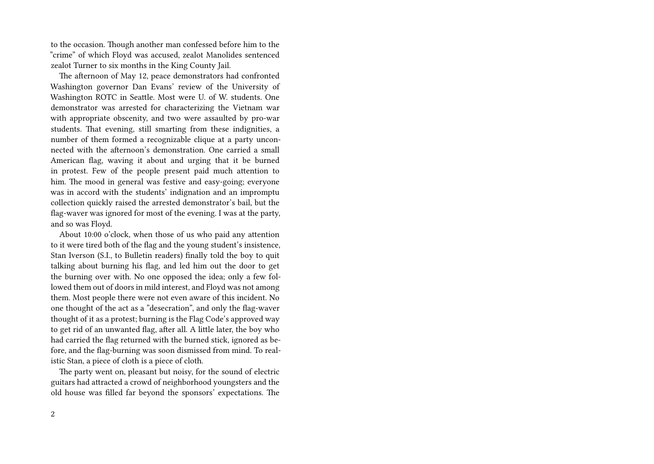to the occasion. Though another man confessed before him to the "crime" of which Floyd was accused, zealot Manolides sentenced zealot Turner to six months in the King County Jail.

The afternoon of May 12, peace demonstrators had confronted Washington governor Dan Evans' review of the University of Washington ROTC in Seattle. Most were U. of W. students. One demonstrator was arrested for characterizing the Vietnam war with appropriate obscenity, and two were assaulted by pro-war students. That evening, still smarting from these indignities, a number of them formed a recognizable clique at a party unconnected with the afternoon's demonstration. One carried a small American flag, waving it about and urging that it be burned in protest. Few of the people present paid much attention to him. The mood in general was festive and easy-going; everyone was in accord with the students' indignation and an impromptu collection quickly raised the arrested demonstrator's bail, but the flag-waver was ignored for most of the evening. I was at the party, and so was Floyd.

About 10:00 o'clock, when those of us who paid any attention to it were tired both of the flag and the young student's insistence, Stan Iverson (S.I., to Bulletin readers) finally told the boy to quit talking about burning his flag, and led him out the door to get the burning over with. No one opposed the idea; only a few followed them out of doors in mild interest, and Floyd was not among them. Most people there were not even aware of this incident. No one thought of the act as a "desecration", and only the flag-waver thought of it as a protest; burning is the Flag Code's approved way to get rid of an unwanted flag, after all. A little later, the boy who had carried the flag returned with the burned stick, ignored as before, and the flag-burning was soon dismissed from mind. To realistic Stan, a piece of cloth is a piece of cloth.

The party went on, pleasant but noisy, for the sound of electric guitars had attracted a crowd of neighborhood youngsters and the old house was filled far beyond the sponsors' expectations. The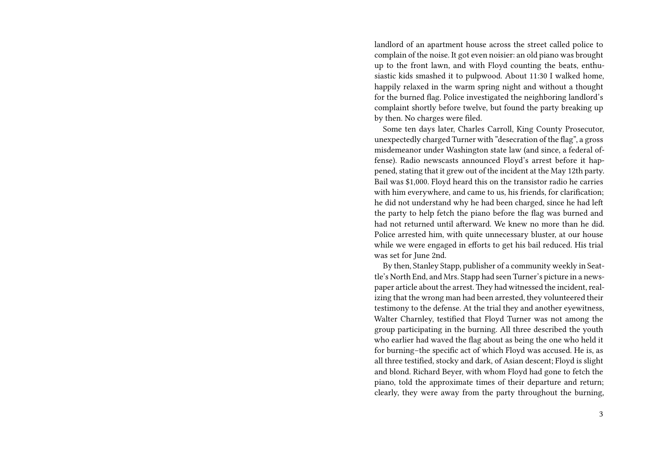landlord of an apartment house across the street called police to complain of the noise. It got even noisier: an old piano was brought up to the front lawn, and with Floyd counting the beats, enthusiastic kids smashed it to pulpwood. About 11:30 I walked home, happily relaxed in the warm spring night and without a thought for the burned flag. Police investigated the neighboring landlord's complaint shortly before twelve, but found the party breaking up by then. No charges were filed.

Some ten days later, Charles Carroll, King County Prosecutor, unexpectedly charged Turner with "desecration of the flag", a gross misdemeanor under Washington state law (and since, a federal offense). Radio newscasts announced Floyd's arrest before it happened, stating that it grew out of the incident at the May 12th party. Bail was \$1,000. Floyd heard this on the transistor radio he carries with him everywhere, and came to us, his friends, for clarification; he did not understand why he had been charged, since he had left the party to help fetch the piano before the flag was burned and had not returned until afterward. We knew no more than he did. Police arrested him, with quite unnecessary bluster, at our house while we were engaged in efforts to get his bail reduced. His trial was set for June 2nd.

By then, Stanley Stapp, publisher of a community weekly in Seattle's North End, and Mrs. Stapp had seen Turner's picture in a newspaper article about the arrest.They had witnessed the incident, realizing that the wrong man had been arrested, they volunteered their testimony to the defense. At the trial they and another eyewitness, Walter Charnley, testified that Floyd Turner was not among the group participating in the burning. All three described the youth who earlier had waved the flag about as being the one who held it for burning–the specific act of which Floyd was accused. He is, as all three testified, stocky and dark, of Asian descent; Floyd is slight and blond. Richard Beyer, with whom Floyd had gone to fetch the piano, told the approximate times of their departure and return; clearly, they were away from the party throughout the burning,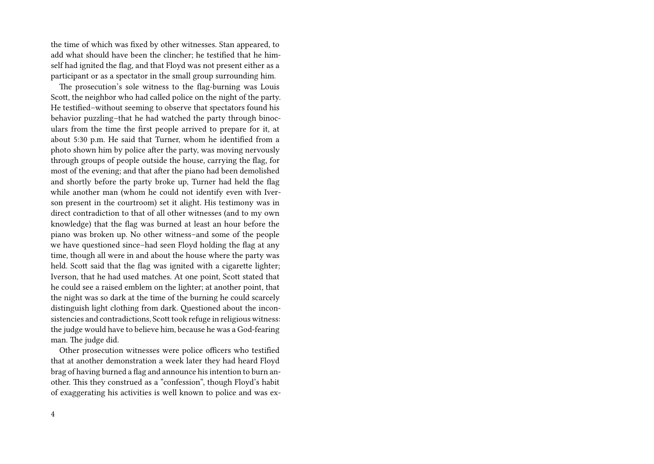the time of which was fixed by other witnesses. Stan appeared, to add what should have been the clincher; he testified that he himself had ignited the flag, and that Floyd was not present either as a participant or as a spectator in the small group surrounding him.

The prosecution's sole witness to the flag-burning was Louis Scott, the neighbor who had called police on the night of the party. He testified–without seeming to observe that spectators found his behavior puzzling–that he had watched the party through binoculars from the time the first people arrived to prepare for it, at about 5:30 p.m. He said that Turner, whom he identified from a photo shown him by police after the party, was moving nervously through groups of people outside the house, carrying the flag, for most of the evening; and that after the piano had been demolished and shortly before the party broke up, Turner had held the flag while another man (whom he could not identify even with Iverson present in the courtroom) set it alight. His testimony was in direct contradiction to that of all other witnesses (and to my own knowledge) that the flag was burned at least an hour before the piano was broken up. No other witness–and some of the people we have questioned since–had seen Floyd holding the flag at any time, though all were in and about the house where the party was held. Scott said that the flag was ignited with a cigarette lighter; Iverson, that he had used matches. At one point, Scott stated that he could see a raised emblem on the lighter; at another point, that the night was so dark at the time of the burning he could scarcely distinguish light clothing from dark. Questioned about the inconsistencies and contradictions, Scott took refuge in religious witness: the judge would have to believe him, because he was a God-fearing man. The judge did.

Other prosecution witnesses were police officers who testified that at another demonstration a week later they had heard Floyd brag of having burned a flag and announce his intention to burn another. This they construed as a "confession", though Floyd's habit of exaggerating his activities is well known to police and was ex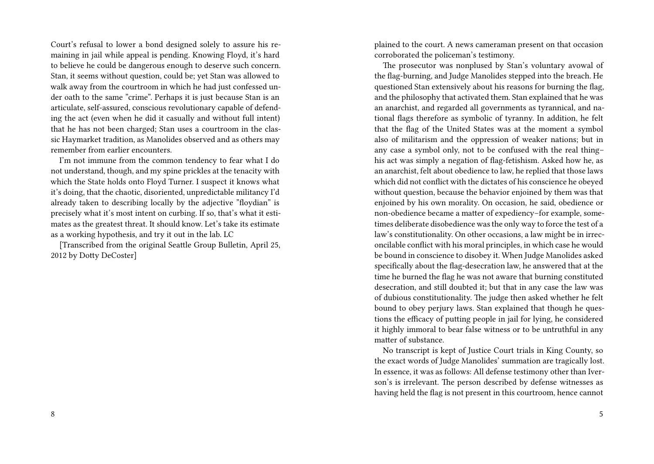Court's refusal to lower a bond designed solely to assure his remaining in jail while appeal is pending. Knowing Floyd, it's hard to believe he could be dangerous enough to deserve such concern. Stan, it seems without question, could be; yet Stan was allowed to walk away from the courtroom in which he had just confessed under oath to the same "crime". Perhaps it is just because Stan is an articulate, self-assured, conscious revolutionary capable of defending the act (even when he did it casually and without full intent) that he has not been charged; Stan uses a courtroom in the classic Haymarket tradition, as Manolides observed and as others may remember from earlier encounters.

I'm not immune from the common tendency to fear what I do not understand, though, and my spine prickles at the tenacity with which the State holds onto Floyd Turner. I suspect it knows what it's doing, that the chaotic, disoriented, unpredictable militancy I'd already taken to describing locally by the adjective "floydian" is precisely what it's most intent on curbing. If so, that's what it estimates as the greatest threat. It should know. Let's take its estimate as a working hypothesis, and try it out in the lab. LC

[Transcribed from the original Seattle Group Bulletin, April 25, 2012 by Dotty DeCoster]

plained to the court. A news cameraman present on that occasion corroborated the policeman's testimony.

The prosecutor was nonplused by Stan's voluntary avowal of the flag-burning, and Judge Manolides stepped into the breach. He questioned Stan extensively about his reasons for burning the flag, and the philosophy that activated them. Stan explained that he was an anarchist, and regarded all governments as tyrannical, and national flags therefore as symbolic of tyranny. In addition, he felt that the flag of the United States was at the moment a symbol also of militarism and the oppression of weaker nations; but in any case a symbol only, not to be confused with the real thing– his act was simply a negation of flag-fetishism. Asked how he, as an anarchist, felt about obedience to law, he replied that those laws which did not conflict with the dictates of his conscience he obeyed without question, because the behavior enjoined by them was that enjoined by his own morality. On occasion, he said, obedience or non-obedience became a matter of expediency–for example, sometimes deliberate disobedience was the only way to force the test of a law's constitutionality. On other occasions, a law might be in irreconcilable conflict with his moral principles, in which case he would be bound in conscience to disobey it. When Judge Manolides asked specifically about the flag-desecration law, he answered that at the time he burned the flag he was not aware that burning constituted desecration, and still doubted it; but that in any case the law was of dubious constitutionality. The judge then asked whether he felt bound to obey perjury laws. Stan explained that though he questions the efficacy of putting people in jail for lying, he considered it highly immoral to bear false witness or to be untruthful in any matter of substance.

No transcript is kept of Justice Court trials in King County, so the exact words of Judge Manolides' summation are tragically lost. In essence, it was as follows: All defense testimony other than Iverson's is irrelevant. The person described by defense witnesses as having held the flag is not present in this courtroom, hence cannot